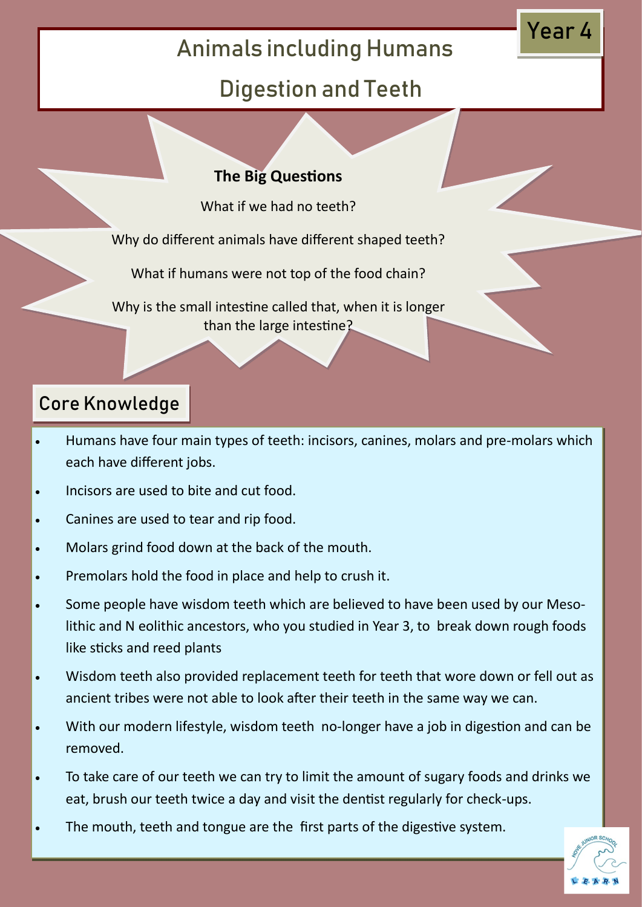## Animals including Humans

### Digestion and Teeth

#### **The Big Questions**

What if we had no teeth?

Why do different animals have different shaped teeth?

What if humans were not top of the food chain?

Why is the small intestine called that, when it is longer than the large intestine?

### Core Knowledge

- Humans have four main types of teeth: incisors, canines, molars and pre-molars which each have different jobs.
- Incisors are used to bite and cut food.
- Canines are used to tear and rip food.
- Molars grind food down at the back of the mouth.
- Premolars hold the food in place and help to crush it.
- Some people have wisdom teeth which are believed to have been used by our Mesolithic and N eolithic ancestors, who you studied in Year 3, to break down rough foods like sticks and reed plants
- Wisdom teeth also provided replacement teeth for teeth that wore down or fell out as ancient tribes were not able to look after their teeth in the same way we can.
- With our modern lifestyle, wisdom teeth no-longer have a job in digestion and can be removed.
- To take care of our teeth we can try to limit the amount of sugary foods and drinks we eat, brush our teeth twice a day and visit the dentist regularly for check-ups.
- The mouth, teeth and tongue are the first parts of the digestive system.



Year 4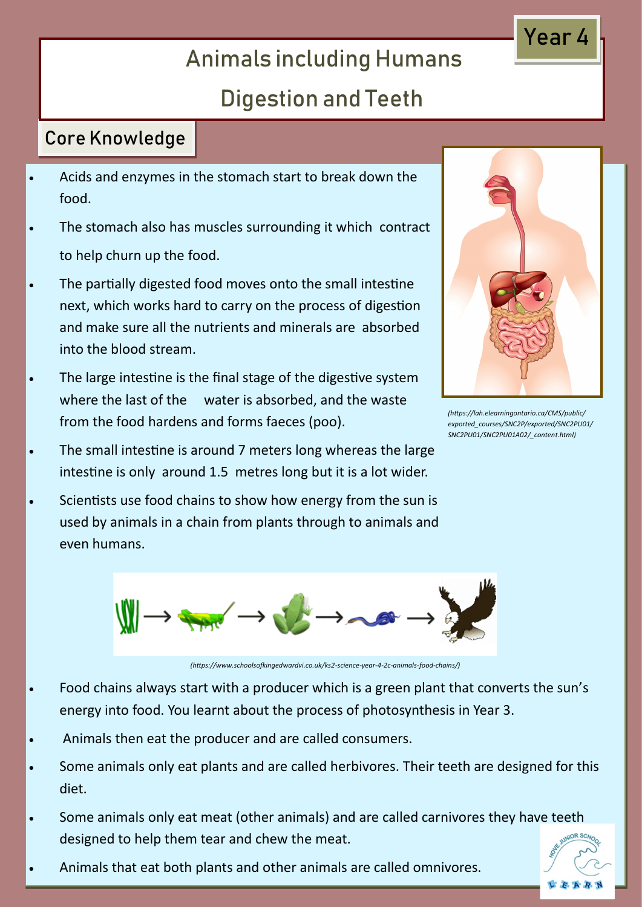# Animals including Humans

### Digestion and Teeth

#### Core Knowledge

- Acids and enzymes in the stomach start to break down the food.
- The stomach also has muscles surrounding it which contract to help churn up the food.
- The partially digested food moves onto the small intestine next, which works hard to carry on the process of digestion and make sure all the nutrients and minerals are absorbed into the blood stream.
- The large intestine is the final stage of the digestive system where the last of the water is absorbed, and the waste from the food hardens and forms faeces (poo).
- The small intestine is around 7 meters long whereas the large intestine is only around 1.5 metres long but it is a lot wider.
- Scientists use food chains to show how energy from the sun is used by animals in a chain from plants through to animals and even humans.



*(https://lah.elearningontario.ca/CMS/public/ exported\_courses/SNC2P/exported/SNC2PU01/ SNC2PU01/SNC2PU01A02/\_content.html)*



*(https://www.schoolsofkingedwardvi.co.uk/ks2-science-year-4-2c-animals-food-chains/)*

- Food chains always start with a producer which is a green plant that converts the sun's energy into food. You learnt about the process of photosynthesis in Year 3.
- Animals then eat the producer and are called consumers.
- Some animals only eat plants and are called herbivores. Their teeth are designed for this diet.
- Some animals only eat meat (other animals) and are called carnivores they have teeth designed to help them tear and chew the meat.
- Animals that eat both plants and other animals are called omnivores.



### Year 4